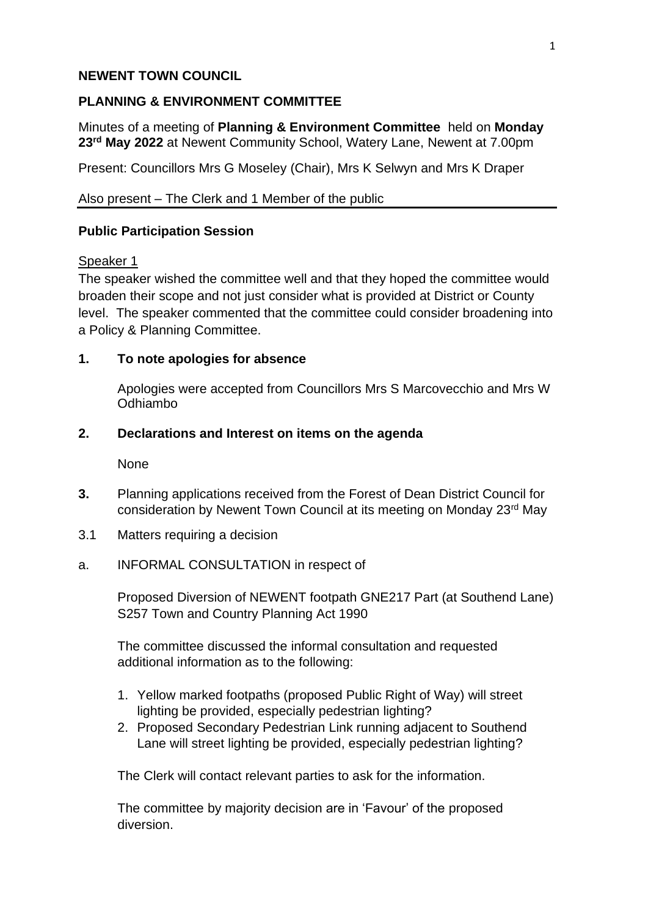## **NEWENT TOWN COUNCIL**

## **PLANNING & ENVIRONMENT COMMITTEE**

Minutes of a meeting of **Planning & Environment Committee** held on **Monday 23rd May 2022** at Newent Community School, Watery Lane, Newent at 7.00pm

Present: Councillors Mrs G Moseley (Chair), Mrs K Selwyn and Mrs K Draper

Also present – The Clerk and 1 Member of the public

# **Public Participation Session**

## Speaker 1

The speaker wished the committee well and that they hoped the committee would broaden their scope and not just consider what is provided at District or County level. The speaker commented that the committee could consider broadening into a Policy & Planning Committee.

# **1. To note apologies for absence**

Apologies were accepted from Councillors Mrs S Marcovecchio and Mrs W Odhiambo

# **2. Declarations and Interest on items on the agenda**

None

- **3.** Planning applications received from the Forest of Dean District Council for consideration by Newent Town Council at its meeting on Monday 23rd May
- 3.1 Matters requiring a decision
- a. INFORMAL CONSULTATION in respect of

Proposed Diversion of NEWENT footpath GNE217 Part (at Southend Lane) S257 Town and Country Planning Act 1990

The committee discussed the informal consultation and requested additional information as to the following:

- 1. Yellow marked footpaths (proposed Public Right of Way) will street lighting be provided, especially pedestrian lighting?
- 2. Proposed Secondary Pedestrian Link running adjacent to Southend Lane will street lighting be provided, especially pedestrian lighting?

The Clerk will contact relevant parties to ask for the information.

The committee by majority decision are in 'Favour' of the proposed diversion.